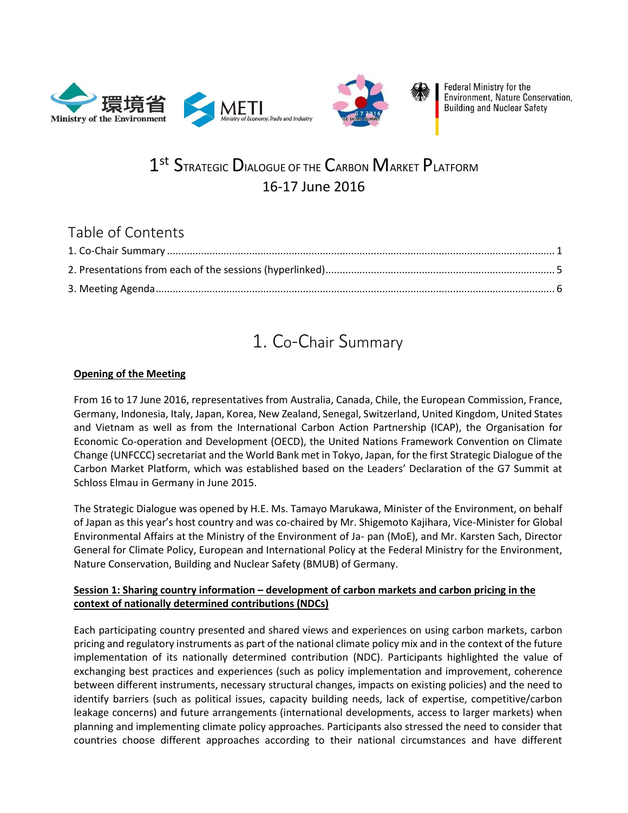

**Federal Ministry for the** Environment, Nature Conservation, **Building and Nuclear Safety** 

# $1^{\rm st}$  Strategic Dialogue of the Carbon Market Platform 16-17 June 2016

## Table of Contents

# 1. Co-Chair Summary

## <span id="page-0-0"></span>**Opening of the Meeting**

From 16 to 17 June 2016, representatives from Australia, Canada, Chile, the European Commission, France, Germany, Indonesia, Italy, Japan, Korea, New Zealand, Senegal, Switzerland, United Kingdom, United States and Vietnam as well as from the International Carbon Action Partnership (ICAP), the Organisation for Economic Co-operation and Development (OECD), the United Nations Framework Convention on Climate Change (UNFCCC) secretariat and the World Bank met in Tokyo, Japan, for the first Strategic Dialogue of the Carbon Market Platform, which was established based on the Leaders' Declaration of the G7 Summit at Schloss Elmau in Germany in June 2015.

The Strategic Dialogue was opened by H.E. Ms. Tamayo Marukawa, Minister of the Environment, on behalf of Japan as this year's host country and was co-chaired by Mr. Shigemoto Kajihara, Vice-Minister for Global Environmental Affairs at the Ministry of the Environment of Ja- pan (MoE), and Mr. Karsten Sach, Director General for Climate Policy, European and International Policy at the Federal Ministry for the Environment, Nature Conservation, Building and Nuclear Safety (BMUB) of Germany.

### **Session 1: Sharing country information – development of carbon markets and carbon pricing in the context of nationally determined contributions (NDCs)**

Each participating country presented and shared views and experiences on using carbon markets, carbon pricing and regulatory instruments as part of the national climate policy mix and in the context of the future implementation of its nationally determined contribution (NDC). Participants highlighted the value of exchanging best practices and experiences (such as policy implementation and improvement, coherence between different instruments, necessary structural changes, impacts on existing policies) and the need to identify barriers (such as political issues, capacity building needs, lack of expertise, competitive/carbon leakage concerns) and future arrangements (international developments, access to larger markets) when planning and implementing climate policy approaches. Participants also stressed the need to consider that countries choose different approaches according to their national circumstances and have different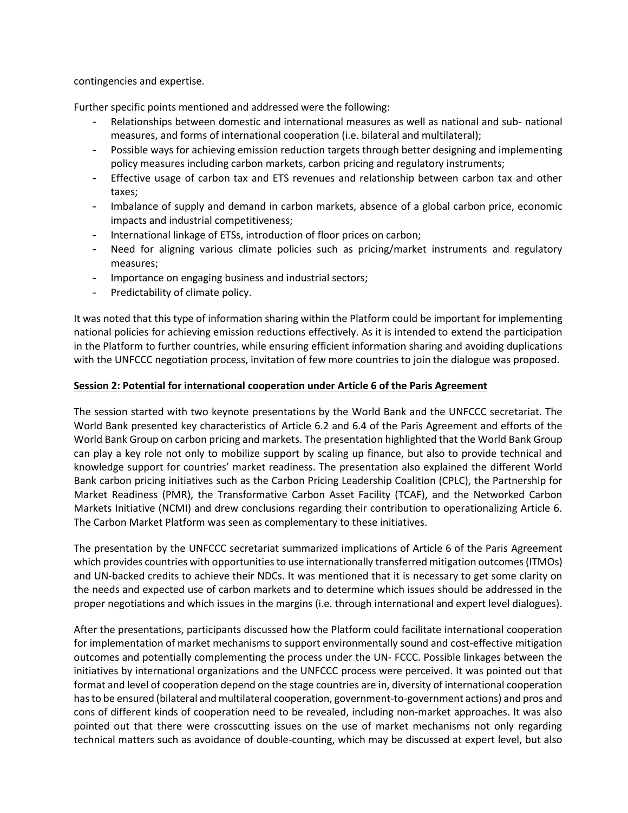contingencies and expertise.

Further specific points mentioned and addressed were the following:

- Relationships between domestic and international measures as well as national and sub- national measures, and forms of international cooperation (i.e. bilateral and multilateral);
- Possible ways for achieving emission reduction targets through better designing and implementing policy measures including carbon markets, carbon pricing and regulatory instruments;
- Effective usage of carbon tax and ETS revenues and relationship between carbon tax and other taxes;
- Imbalance of supply and demand in carbon markets, absence of a global carbon price, economic impacts and industrial competitiveness;
- International linkage of ETSs, introduction of floor prices on carbon;
- Need for aligning various climate policies such as pricing/market instruments and regulatory measures;
- Importance on engaging business and industrial sectors;
- Predictability of climate policy.

It was noted that this type of information sharing within the Platform could be important for implementing national policies for achieving emission reductions effectively. As it is intended to extend the participation in the Platform to further countries, while ensuring efficient information sharing and avoiding duplications with the UNFCCC negotiation process, invitation of few more countries to join the dialogue was proposed.

### **Session 2: Potential for international cooperation under Article 6 of the Paris Agreement**

The session started with two keynote presentations by the World Bank and the UNFCCC secretariat. The World Bank presented key characteristics of Article 6.2 and 6.4 of the Paris Agreement and efforts of the World Bank Group on carbon pricing and markets. The presentation highlighted that the World Bank Group can play a key role not only to mobilize support by scaling up finance, but also to provide technical and knowledge support for countries' market readiness. The presentation also explained the different World Bank carbon pricing initiatives such as the Carbon Pricing Leadership Coalition (CPLC), the Partnership for Market Readiness (PMR), the Transformative Carbon Asset Facility (TCAF), and the Networked Carbon Markets Initiative (NCMI) and drew conclusions regarding their contribution to operationalizing Article 6. The Carbon Market Platform was seen as complementary to these initiatives.

The presentation by the UNFCCC secretariat summarized implications of Article 6 of the Paris Agreement which provides countries with opportunities to use internationally transferred mitigation outcomes (ITMOs) and UN-backed credits to achieve their NDCs. It was mentioned that it is necessary to get some clarity on the needs and expected use of carbon markets and to determine which issues should be addressed in the proper negotiations and which issues in the margins (i.e. through international and expert level dialogues).

After the presentations, participants discussed how the Platform could facilitate international cooperation for implementation of market mechanisms to support environmentally sound and cost-effective mitigation outcomes and potentially complementing the process under the UN- FCCC. Possible linkages between the initiatives by international organizations and the UNFCCC process were perceived. It was pointed out that format and level of cooperation depend on the stage countries are in, diversity of international cooperation has to be ensured (bilateral and multilateral cooperation, government-to-government actions) and pros and cons of different kinds of cooperation need to be revealed, including non-market approaches. It was also pointed out that there were crosscutting issues on the use of market mechanisms not only regarding technical matters such as avoidance of double-counting, which may be discussed at expert level, but also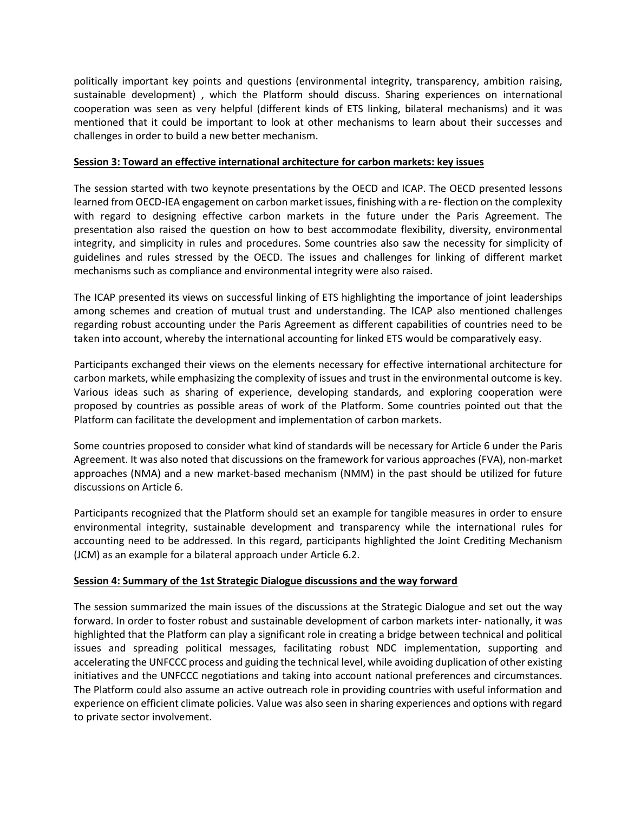politically important key points and questions (environmental integrity, transparency, ambition raising, sustainable development) , which the Platform should discuss. Sharing experiences on international cooperation was seen as very helpful (different kinds of ETS linking, bilateral mechanisms) and it was mentioned that it could be important to look at other mechanisms to learn about their successes and challenges in order to build a new better mechanism.

### **Session 3: Toward an effective international architecture for carbon markets: key issues**

The session started with two keynote presentations by the OECD and ICAP. The OECD presented lessons learned from OECD-IEA engagement on carbon market issues, finishing with a re- flection on the complexity with regard to designing effective carbon markets in the future under the Paris Agreement. The presentation also raised the question on how to best accommodate flexibility, diversity, environmental integrity, and simplicity in rules and procedures. Some countries also saw the necessity for simplicity of guidelines and rules stressed by the OECD. The issues and challenges for linking of different market mechanisms such as compliance and environmental integrity were also raised.

The ICAP presented its views on successful linking of ETS highlighting the importance of joint leaderships among schemes and creation of mutual trust and understanding. The ICAP also mentioned challenges regarding robust accounting under the Paris Agreement as different capabilities of countries need to be taken into account, whereby the international accounting for linked ETS would be comparatively easy.

Participants exchanged their views on the elements necessary for effective international architecture for carbon markets, while emphasizing the complexity of issues and trust in the environmental outcome is key. Various ideas such as sharing of experience, developing standards, and exploring cooperation were proposed by countries as possible areas of work of the Platform. Some countries pointed out that the Platform can facilitate the development and implementation of carbon markets.

Some countries proposed to consider what kind of standards will be necessary for Article 6 under the Paris Agreement. It was also noted that discussions on the framework for various approaches (FVA), non-market approaches (NMA) and a new market-based mechanism (NMM) in the past should be utilized for future discussions on Article 6.

Participants recognized that the Platform should set an example for tangible measures in order to ensure environmental integrity, sustainable development and transparency while the international rules for accounting need to be addressed. In this regard, participants highlighted the Joint Crediting Mechanism (JCM) as an example for a bilateral approach under Article 6.2.

### **Session 4: Summary of the 1st Strategic Dialogue discussions and the way forward**

The session summarized the main issues of the discussions at the Strategic Dialogue and set out the way forward. In order to foster robust and sustainable development of carbon markets inter- nationally, it was highlighted that the Platform can play a significant role in creating a bridge between technical and political issues and spreading political messages, facilitating robust NDC implementation, supporting and accelerating the UNFCCC process and guiding the technical level, while avoiding duplication of other existing initiatives and the UNFCCC negotiations and taking into account national preferences and circumstances. The Platform could also assume an active outreach role in providing countries with useful information and experience on efficient climate policies. Value was also seen in sharing experiences and options with regard to private sector involvement.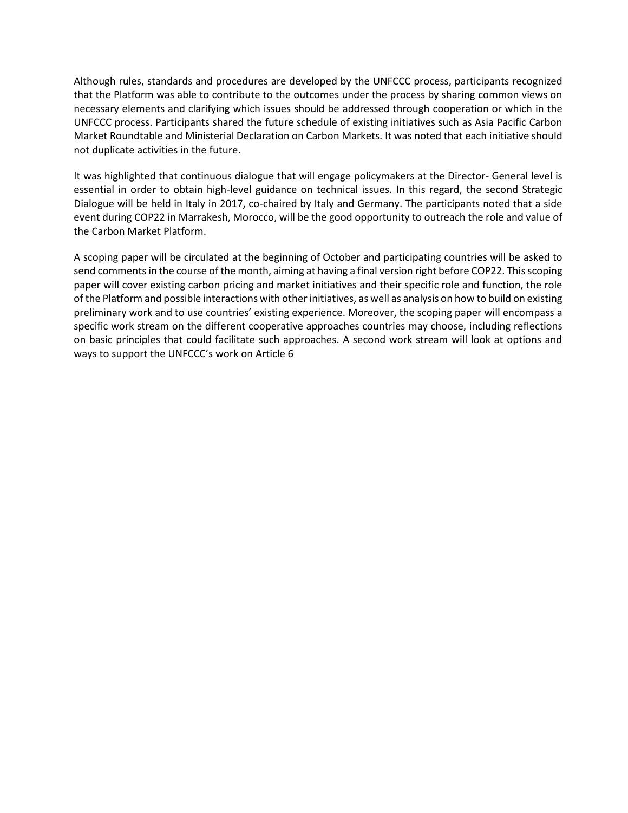Although rules, standards and procedures are developed by the UNFCCC process, participants recognized that the Platform was able to contribute to the outcomes under the process by sharing common views on necessary elements and clarifying which issues should be addressed through cooperation or which in the UNFCCC process. Participants shared the future schedule of existing initiatives such as Asia Pacific Carbon Market Roundtable and Ministerial Declaration on Carbon Markets. It was noted that each initiative should not duplicate activities in the future.

It was highlighted that continuous dialogue that will engage policymakers at the Director- General level is essential in order to obtain high-level guidance on technical issues. In this regard, the second Strategic Dialogue will be held in Italy in 2017, co-chaired by Italy and Germany. The participants noted that a side event during COP22 in Marrakesh, Morocco, will be the good opportunity to outreach the role and value of the Carbon Market Platform.

A scoping paper will be circulated at the beginning of October and participating countries will be asked to send comments in the course of the month, aiming at having a final version right before COP22. This scoping paper will cover existing carbon pricing and market initiatives and their specific role and function, the role of the Platform and possible interactions with other initiatives, as well as analysis on how to build on existing preliminary work and to use countries' existing experience. Moreover, the scoping paper will encompass a specific work stream on the different cooperative approaches countries may choose, including reflections on basic principles that could facilitate such approaches. A second work stream will look at options and ways to support the UNFCCC's work on Article 6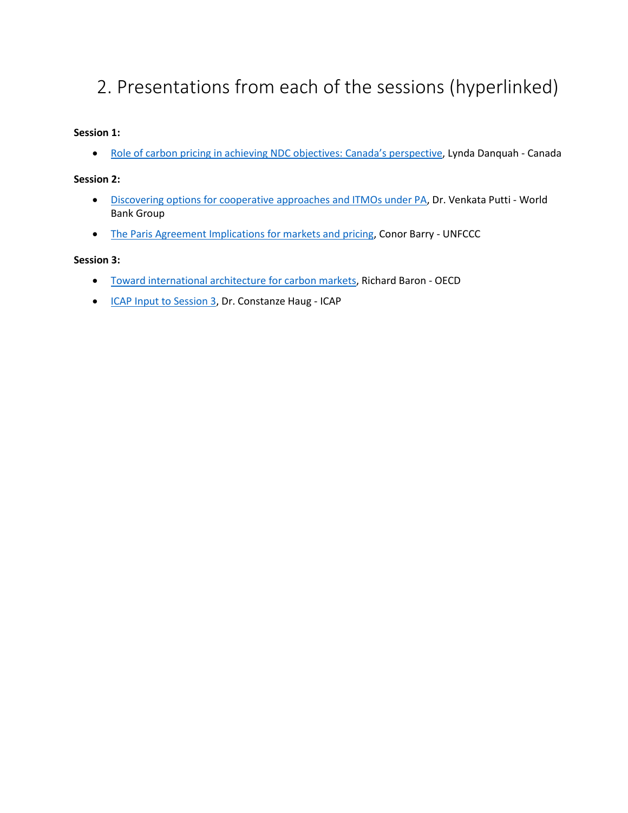# <span id="page-4-0"></span>2. Presentations from each of the sessions (hyperlinked)

### **Session 1:**

• [Role of carbon pricing in achieving NDC](https://www.slideshare.net/OECD_ENV/role-of-carbon-pricing-in-achieving-ndc-objectives-canadas-perspective-lynda-danquah-canada) objectives: Canada's perspective, Lynda Danquah - Canada

### **Session 2:**

- [Discovering options for cooperative](https://www.slideshare.net/OECD_ENV/discovering-options-for-cooperative-approaches-and-itmos-under-pa-dr-venkata-putti-world-bank-group) approaches and ITMOs under PA, Dr. Venkata Putti World Bank Group
- [The Paris Agreement Implications for markets and pricing,](https://www.slideshare.net/OECD_ENV/the-paris-agreement-implications-for-markets-and-pricing-conor-barry-unfccc) Conor Barry UNFCCC

### **Session 3:**

- [Toward international architecture for carbon markets,](https://www.slideshare.net/OECD_ENV/toward-international-architecture-for-carbon-markets-richard-baron-oecd) Richard Baron OECD
- [ICAP Input to Session 3,](https://www.slideshare.net/OECD_ENV/icap-input-to-session-3-dr-constanze-haug-icap) Dr. Constanze Haug ICAP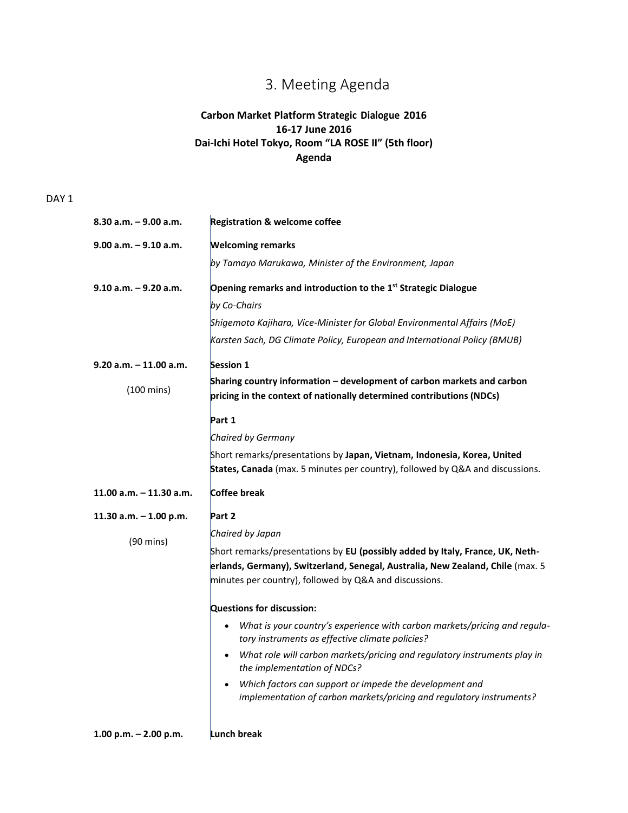# 3. Meeting Agenda

## **Carbon Market Platform Strategic Dialogue 2016 16-17 June 2016 Dai-Ichi Hotel Tokyo, Room "LA ROSE II" (5th floor) Agenda**

<span id="page-5-0"></span>DAY<sub>1</sub>

| $8.30$ a.m. $-9.00$ a.m.   | <b>Registration &amp; welcome coffee</b>                                                                                                  |
|----------------------------|-------------------------------------------------------------------------------------------------------------------------------------------|
| $9.00$ a.m. $-9.10$ a.m.   | <b>Welcoming remarks</b>                                                                                                                  |
|                            | $ $ by Tamayo Marukawa, Minister of the Environment, Japan                                                                                |
| $9.10 a.m. - 9.20 a.m.$    | Opening remarks and introduction to the 1 <sup>st</sup> Strategic Dialogue                                                                |
|                            | by Co-Chairs                                                                                                                              |
|                            | Shigemoto Kajihara, Vice-Minister for Global Environmental Affairs (MoE)                                                                  |
|                            | Karsten Sach, DG Climate Policy, European and International Policy (BMUB)                                                                 |
| $9.20$ a.m. $-11.00$ a.m.  | Session 1                                                                                                                                 |
| $(100 \text{ mins})$       | Sharing country information - development of carbon markets and carbon                                                                    |
|                            | pricing in the context of nationally determined contributions (NDCs)                                                                      |
|                            | Part 1                                                                                                                                    |
|                            | Chaired by Germany                                                                                                                        |
|                            | Short remarks/presentations by Japan, Vietnam, Indonesia, Korea, United                                                                   |
|                            | States, Canada (max. 5 minutes per country), followed by Q&A and discussions.                                                             |
| $11.00$ a.m. $-11.30$ a.m. | Coffee break                                                                                                                              |
| 11.30 a.m. - 1.00 p.m.     | Part 2                                                                                                                                    |
| $(90 \text{ mins})$        | Chaired by Japan                                                                                                                          |
|                            | Short remarks/presentations by EU (possibly added by Italy, France, UK, Neth-                                                             |
|                            | erlands, Germany), Switzerland, Senegal, Australia, New Zealand, Chile (max. 5<br>minutes per country), followed by Q&A and discussions.  |
|                            | <b>Questions for discussion:</b>                                                                                                          |
|                            | What is your country's experience with carbon markets/pricing and regula-<br>$\bullet$<br>tory instruments as effective climate policies? |
|                            | What role will carbon markets/pricing and regulatory instruments play in<br>the implementation of NDCs?                                   |
|                            | Which factors can support or impede the development and<br>implementation of carbon markets/pricing and regulatory instruments?           |
| 1.00 p.m. $- 2.00$ p.m.    | Lunch break                                                                                                                               |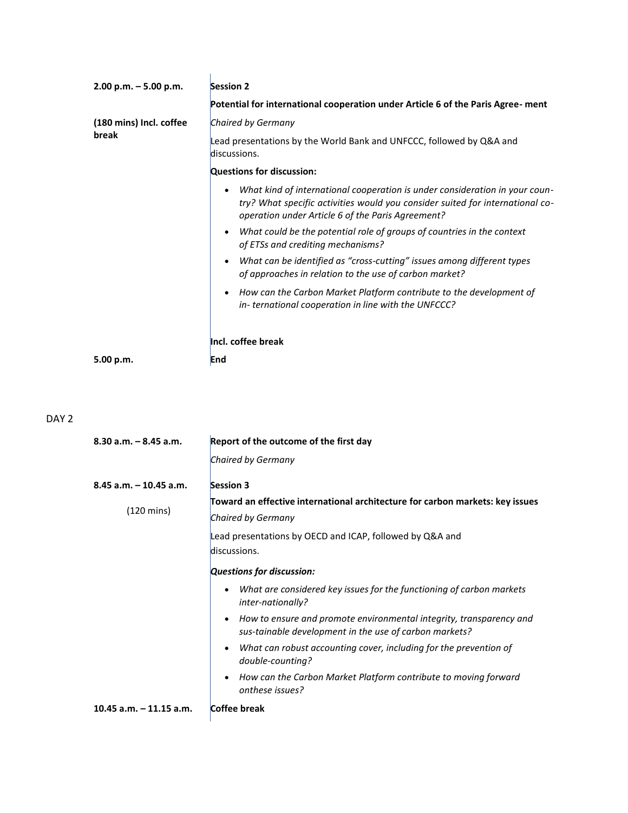| $2.00$ p.m. $-5.00$ p.m.         | Session 2                                                                                                                                                                                                         |
|----------------------------------|-------------------------------------------------------------------------------------------------------------------------------------------------------------------------------------------------------------------|
|                                  | Potential for international cooperation under Article 6 of the Paris Agree- ment                                                                                                                                  |
| (180 mins) Incl. coffee<br>break | Chaired by Germany                                                                                                                                                                                                |
|                                  | Lead presentations by the World Bank and UNFCCC, followed by Q&A and<br>discussions.                                                                                                                              |
|                                  | Questions for discussion:                                                                                                                                                                                         |
|                                  | What kind of international cooperation is under consideration in your coun-<br>try? What specific activities would you consider suited for international co-<br>operation under Article 6 of the Paris Agreement? |
|                                  | What could be the potential role of groups of countries in the context<br>of ETSs and crediting mechanisms?                                                                                                       |
|                                  | What can be identified as "cross-cutting" issues among different types<br>of approaches in relation to the use of carbon market?                                                                                  |
|                                  | How can the Carbon Market Platform contribute to the development of<br>$\bullet$<br>in-ternational cooperation in line with the UNFCCC?                                                                           |
|                                  | Incl. coffee break                                                                                                                                                                                                |
| 5.00 p.m.                        | End                                                                                                                                                                                                               |

## DAY<sub>2</sub>

| $8.30$ a.m. $-8.45$ a.m.  | Report of the outcome of the first day                                                                                                     |
|---------------------------|--------------------------------------------------------------------------------------------------------------------------------------------|
|                           | Chaired by Germany                                                                                                                         |
| $8.45$ a.m. $-10.45$ a.m. | <b>Session 3</b>                                                                                                                           |
| (120 mins)                | Toward an effective international architecture for carbon markets: key issues                                                              |
|                           | Chaired by Germany                                                                                                                         |
|                           | Lead presentations by OECD and ICAP, followed by Q&A and<br>discussions.                                                                   |
|                           | Questions for discussion:                                                                                                                  |
|                           | What are considered key issues for the functioning of carbon markets<br>inter-nationally?                                                  |
|                           | How to ensure and promote environmental integrity, transparency and<br>$\bullet$<br>sus-tainable development in the use of carbon markets? |
|                           | What can robust accounting cover, including for the prevention of<br>$\bullet$<br>double-counting?                                         |
|                           | How can the Carbon Market Platform contribute to moving forward<br>$\bullet$<br>onthese issues?                                            |
| 10.45 $a.m. - 11.15 a.m.$ | Coffee break                                                                                                                               |